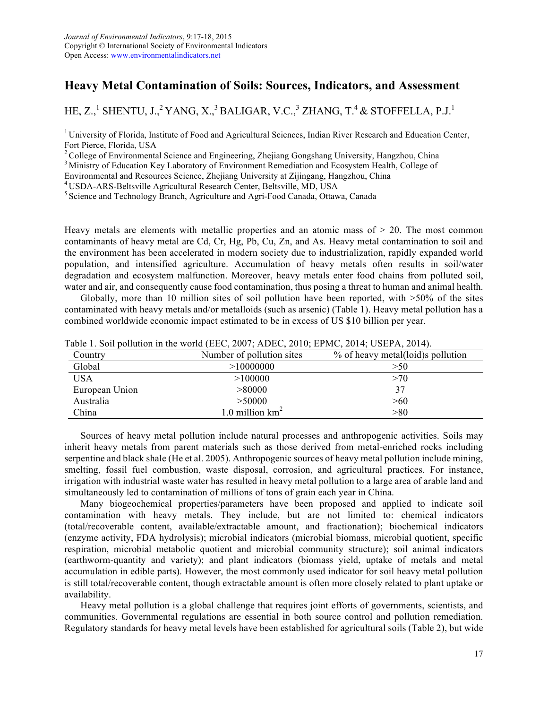## **Heavy Metal Contamination of Soils: Sources, Indicators, and Assessment**

HE, Z., $^1$  SHENTU, J., $^2$  YANG, X., $^3$  BALIGAR, V.C., $^3$  ZHANG, T. $^4$  & STOFFELLA, P.J. $^1$ 

<sup>1</sup> University of Florida, Institute of Food and Agricultural Sciences, Indian River Research and Education Center, Fort Pierce, Florida, USA<br><sup>2</sup> College of Environmental Science and Engineering, Zhejiang Gongshang University, Hangzhou, China

<sup>3</sup> Ministry of Education Key Laboratory of Environment Remediation and Ecosystem Health, College of

Environmental and Resources Science, Zhejiang University at Zijingang, Hangzhou, China

 $5$  Science and Technology Branch, Agriculture and Agri-Food Canada, Ottawa, Canada

Heavy metals are elements with metallic properties and an atomic mass of  $> 20$ . The most common contaminants of heavy metal are Cd, Cr, Hg, Pb, Cu, Zn, and As. Heavy metal contamination to soil and the environment has been accelerated in modern society due to industrialization, rapidly expanded world population, and intensified agriculture. Accumulation of heavy metals often results in soil/water degradation and ecosystem malfunction. Moreover, heavy metals enter food chains from polluted soil, water and air, and consequently cause food contamination, thus posing a threat to human and animal health.

Globally, more than 10 million sites of soil pollution have been reported, with  $>50\%$  of the sites contaminated with heavy metals and/or metalloids (such as arsenic) (Table 1). Heavy metal pollution has a combined worldwide economic impact estimated to be in excess of US \$10 billion per year.

| Country        | Number of pollution sites | % of heavy metal(loid)s pollution |
|----------------|---------------------------|-----------------------------------|
| Global         | >10000000                 | >50                               |
| USA            | >100000                   | >70                               |
| European Union | > 80000                   | 37                                |
| Australia      | >50000                    | > 60                              |
| China          | 1.0 million $km^2$        | > 80                              |

Table 1. Soil pollution in the world (EEC, 2007; ADEC, 2010; EPMC, 2014; USEPA, 2014).

Sources of heavy metal pollution include natural processes and anthropogenic activities. Soils may inherit heavy metals from parent materials such as those derived from metal-enriched rocks including serpentine and black shale (He et al. 2005). Anthropogenic sources of heavy metal pollution include mining, smelting, fossil fuel combustion, waste disposal, corrosion, and agricultural practices. For instance, irrigation with industrial waste water has resulted in heavy metal pollution to a large area of arable land and simultaneously led to contamination of millions of tons of grain each year in China.

Many biogeochemical properties/parameters have been proposed and applied to indicate soil contamination with heavy metals. They include, but are not limited to: chemical indicators (total/recoverable content, available/extractable amount, and fractionation); biochemical indicators (enzyme activity, FDA hydrolysis); microbial indicators (microbial biomass, microbial quotient, specific respiration, microbial metabolic quotient and microbial community structure); soil animal indicators (earthworm-quantity and variety); and plant indicators (biomass yield, uptake of metals and metal accumulation in edible parts). However, the most commonly used indicator for soil heavy metal pollution is still total/recoverable content, though extractable amount is often more closely related to plant uptake or availability.

Heavy metal pollution is a global challenge that requires joint efforts of governments, scientists, and communities. Governmental regulations are essential in both source control and pollution remediation. Regulatory standards for heavy metal levels have been established for agricultural soils (Table 2), but wide